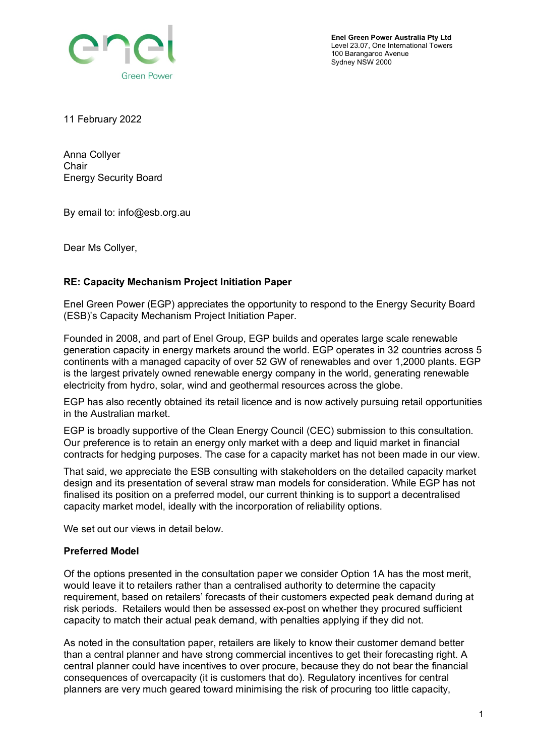

**Enel Green Power Australia Pty Ltd** Level 23.07, One International Towers 100 Barangaroo Avenue Sydney NSW 2000

11 February 2022

Anna Collyer **Chair** Energy Security Board

By email to: info@esb.org.au

Dear Ms Collyer,

## **RE: Capacity Mechanism Project Initiation Paper**

Enel Green Power (EGP) appreciates the opportunity to respond to the Energy Security Board (ESB)'s Capacity Mechanism Project Initiation Paper.

Founded in 2008, and part of Enel Group, EGP builds and operates large scale renewable generation capacity in energy markets around the world. EGP operates in 32 countries across 5 continents with a managed capacity of over 52 GW of renewables and over 1,2000 plants. EGP is the largest privately owned renewable energy company in the world, generating renewable electricity from hydro, solar, wind and geothermal resources across the globe.

EGP has also recently obtained its retail licence and is now actively pursuing retail opportunities in the Australian market.

EGP is broadly supportive of the Clean Energy Council (CEC) submission to this consultation. Our preference is to retain an energy only market with a deep and liquid market in financial contracts for hedging purposes. The case for a capacity market has not been made in our view.

That said, we appreciate the ESB consulting with stakeholders on the detailed capacity market design and its presentation of several straw man models for consideration. While EGP has not finalised its position on a preferred model, our current thinking is to support a decentralised capacity market model, ideally with the incorporation of reliability options.

We set out our views in detail below.

## **Preferred Model**

Of the options presented in the consultation paper we consider Option 1A has the most merit, would leave it to retailers rather than a centralised authority to determine the capacity requirement, based on retailers' forecasts of their customers expected peak demand during at risk periods. Retailers would then be assessed ex-post on whether they procured sufficient capacity to match their actual peak demand, with penalties applying if they did not.

As noted in the consultation paper, retailers are likely to know their customer demand better than a central planner and have strong commercial incentives to get their forecasting right. A central planner could have incentives to over procure, because they do not bear the financial consequences of overcapacity (it is customers that do). Regulatory incentives for central planners are very much geared toward minimising the risk of procuring too little capacity,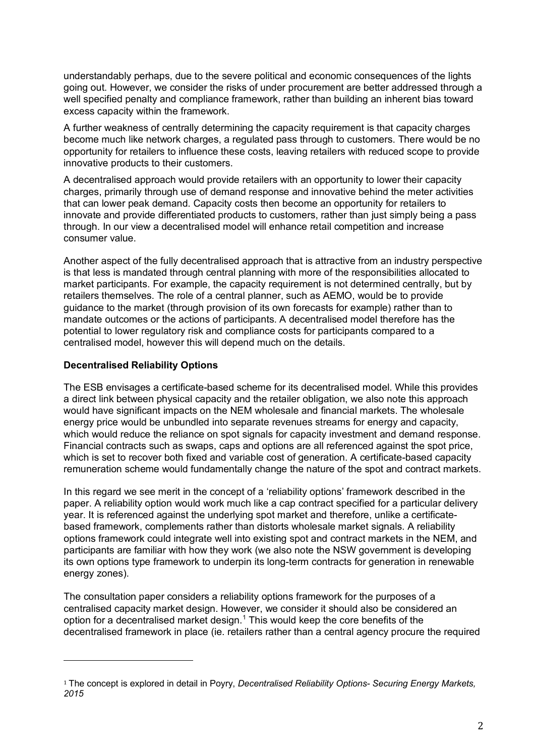understandably perhaps, due to the severe political and economic consequences of the lights going out. However, we consider the risks of under procurement are better addressed through a well specified penalty and compliance framework, rather than building an inherent bias toward excess capacity within the framework.

A further weakness of centrally determining the capacity requirement is that capacity charges become much like network charges, a regulated pass through to customers. There would be no opportunity for retailers to influence these costs, leaving retailers with reduced scope to provide innovative products to their customers.

A decentralised approach would provide retailers with an opportunity to lower their capacity charges, primarily through use of demand response and innovative behind the meter activities that can lower peak demand. Capacity costs then become an opportunity for retailers to innovate and provide differentiated products to customers, rather than just simply being a pass through. In our view a decentralised model will enhance retail competition and increase consumer value.

Another aspect of the fully decentralised approach that is attractive from an industry perspective is that less is mandated through central planning with more of the responsibilities allocated to market participants. For example, the capacity requirement is not determined centrally, but by retailers themselves. The role of a central planner, such as AEMO, would be to provide guidance to the market (through provision of its own forecasts for example) rather than to mandate outcomes or the actions of participants. A decentralised model therefore has the potential to lower regulatory risk and compliance costs for participants compared to a centralised model, however this will depend much on the details.

## **Decentralised Reliability Options**

The ESB envisages a certificate-based scheme for its decentralised model. While this provides a direct link between physical capacity and the retailer obligation, we also note this approach would have significant impacts on the NEM wholesale and financial markets. The wholesale energy price would be unbundled into separate revenues streams for energy and capacity, which would reduce the reliance on spot signals for capacity investment and demand response. Financial contracts such as swaps, caps and options are all referenced against the spot price, which is set to recover both fixed and variable cost of generation. A certificate-based capacity remuneration scheme would fundamentally change the nature of the spot and contract markets.

In this regard we see merit in the concept of a 'reliability options' framework described in the paper. A reliability option would work much like a cap contract specified for a particular delivery year. It is referenced against the underlying spot market and therefore, unlike a certificatebased framework, complements rather than distorts wholesale market signals. A reliability options framework could integrate well into existing spot and contract markets in the NEM, and participants are familiar with how they work (we also note the NSW government is developing its own options type framework to underpin its long-term contracts for generation in renewable energy zones).

The consultation paper considers a reliability options framework for the purposes of a centralised capacity market design. However, we consider it should also be considered an option for a decentralised market design. [1](#page-1-0) This would keep the core benefits of the decentralised framework in place (ie. retailers rather than a central agency procure the required

<span id="page-1-0"></span><sup>1</sup> The concept is explored in detail in Poyry, *Decentralised Reliability Options- Securing Energy Markets, 2015*